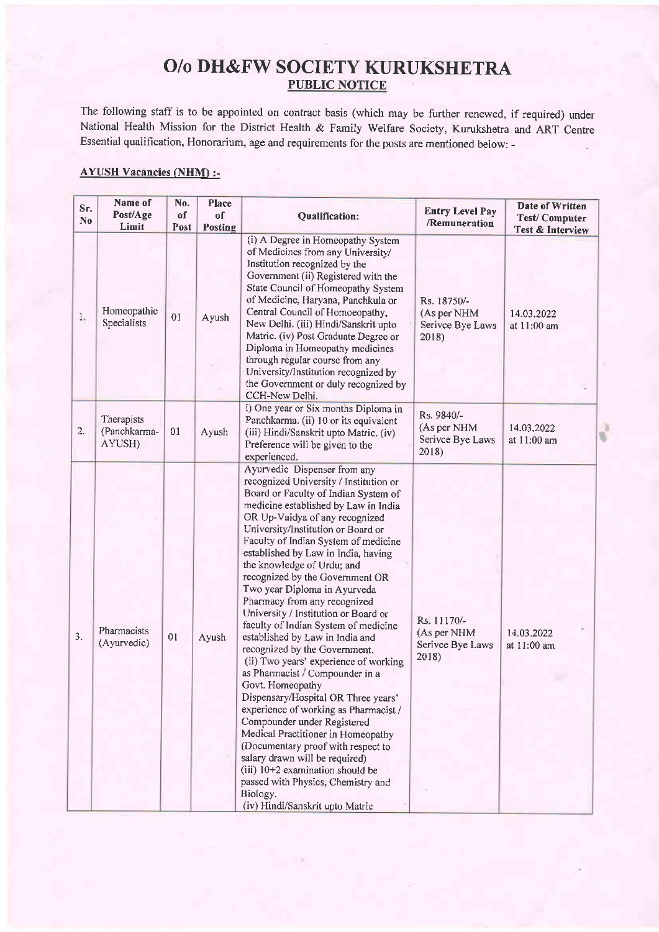## O/o DH&FW SOCIETY KURUKSHETRA PUBLIC NOTICE

The following staff is to be appointed on contract basis (which may be further renewed, if required) under National Health Mission for the District Health & Family Welfare Society, Kurukshetra and ART Centre Essential qualification, Honorarium, age and requirements for the posts are mentioned below: -

## AYUSH Vacancies (NHM) :-

| Sr.<br>N <sub>0</sub> | Name of<br>Post/Age<br>Limit         | No.<br>of<br>Post | Place<br>of<br>Posting | Qualification:                                                                                                                                                                                                                                                                                                                                                                                                                                                                                                                                                                                                                                                                                                                                                                                                                                                                                                                                                                                                                                           | <b>Entry Level Pay</b><br>/Remuneration                 | <b>Date of Written</b><br><b>Test/Computer</b><br><b>Test &amp; Interview</b> |
|-----------------------|--------------------------------------|-------------------|------------------------|----------------------------------------------------------------------------------------------------------------------------------------------------------------------------------------------------------------------------------------------------------------------------------------------------------------------------------------------------------------------------------------------------------------------------------------------------------------------------------------------------------------------------------------------------------------------------------------------------------------------------------------------------------------------------------------------------------------------------------------------------------------------------------------------------------------------------------------------------------------------------------------------------------------------------------------------------------------------------------------------------------------------------------------------------------|---------------------------------------------------------|-------------------------------------------------------------------------------|
| 1.                    | Homeopathic<br>Specialists           | 01                | Ayush                  | (i) A Degree in Homeopathy System<br>of Medicines from any University/<br>Institution recognized by the<br>Government (ii) Registered with the<br>State Council of Homeopathy System<br>of Medicine, Haryana, Panchkula or<br>Central Council of Homoeopathy,<br>New Delhi. (iii) Hindi/Sanskrit upto<br>Matric. (iv) Post Graduate Degree or<br>Diploma in Homeopathy medicines<br>through regular course from any<br>University/Institution recognized by<br>the Government or duly recognized by<br>CCH-New Delhi.                                                                                                                                                                                                                                                                                                                                                                                                                                                                                                                                    | Rs. 18750/-<br>(As per NHM<br>Serivce Bye Laws<br>2018) | 14.03.2022<br>at 11:00 am                                                     |
| 2.                    | Therapists<br>(Panchkarma-<br>AYUSH) | 01                | Ayush                  | i) One year or Six months Diploma in<br>Panchkarma. (ii) 10 or its equivalent<br>(iii) Hindi/Sanskrit upto Matric. (iv)<br>Preference will be given to the<br>experienced.                                                                                                                                                                                                                                                                                                                                                                                                                                                                                                                                                                                                                                                                                                                                                                                                                                                                               | Rs. 9840/-<br>(As per NHM<br>Serivce Bye Laws<br>2018)  | 14.03.2022<br>at 11:00 am                                                     |
| 3.                    | Pharmacists<br>(Ayurvedic)           | 01                | Ayush                  | Ayurvedic Dispenser from any<br>recognized University / Institution or<br>Board or Faculty of Indian System of<br>medicine established by Law in India<br>OR Up-Vaidya of any recognized<br>University/Institution or Board or<br>Faculty of Indian System of medicine<br>established by Law in India, having<br>the knowledge of Urdu; and<br>recognized by the Government OR<br>Two year Diploma in Ayurveda<br>Pharmacy from any recognized<br>University / Institution or Board or<br>faculty of Indian System of medicine<br>established by Law in India and<br>recognized by the Government.<br>(ii) Two years' experience of working<br>as Pharmacist / Compounder in a<br>Govt. Homeopathy<br>Dispensary/Hospital OR Three years'<br>experience of working as Pharmacist /<br>Compounder under Registered<br>Medical Practitioner in Homeopathy<br>(Documentary proof with respect to<br>salary drawn will be required)<br>(iii) 10+2 examination should be<br>passed with Physics, Chemistry and<br>Biology.<br>(iv) Hindi/Sanskrit upto Matric | Rs. 11170/-<br>(As per NHM<br>Serivce Bye Laws<br>2018) | 14.03.2022<br>at 11:00 am                                                     |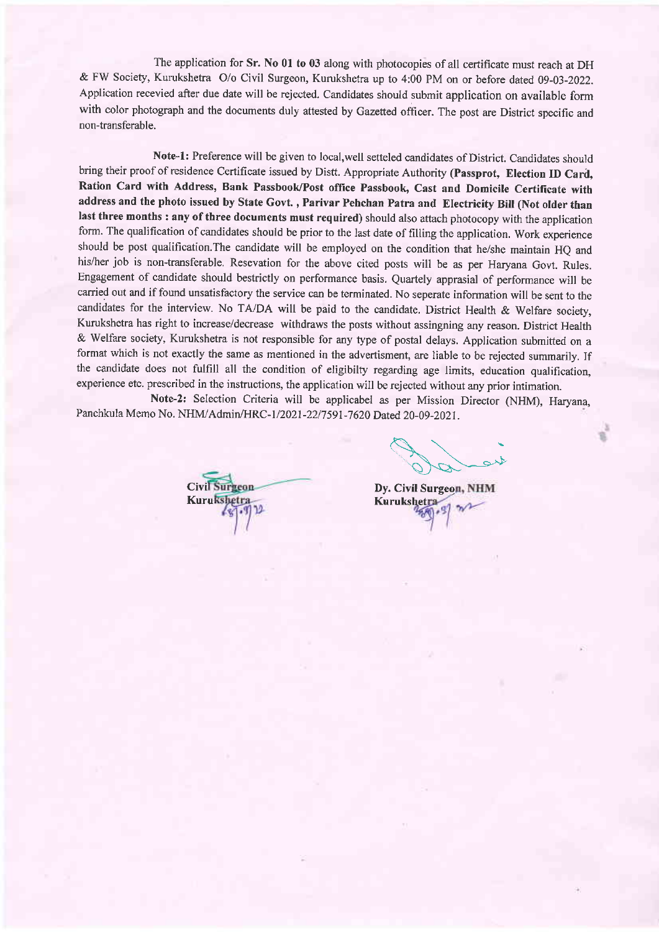The application for Sr. No 01 to 03 along with photocopies of all certificate must reach at DH & FW Society, Kurukshetra O/o Civil Surgeon, Kurukshetra up to 4:00 PM on or before dated 09-03-2022. Application recevied after due date will be rejected. Candidates should submit application on available form with color photograph and the documents duly attested by Gazetted officer. The post are District specific and non-transferable.

Note-1: Preference will be given to local, well setteled candidates of District. Candidates should bring their proof of residence Certificate issued by Distt. Appropriate Authority (Passprot, Election ID Card, Ration Card with Address, Bank Passbook/Post office Passbook, Cast and Domicile Certificate with address and the photo issued by State Govt., Parivar Pehchan Patra and Electricity Bill (Not older than last three months : any of three documents must required) should also attach photocopy with the application form. The qualification of candidates should be prior to the last date of filling the application. Work experience should be post qualification. The candidate will be employed on the condition that he/she maintain HQ and his/her job is non-transferable. Resevation for the above cited posts will be as per Haryana Govt. Rules. Engagement of candidate should bestrictly on performance basis. Quartely apprasial of performance will be carried out and if found unsatisfactory the service can be terminated. No seperate information will be sent to the candidates for the interview. No TA/DA will be paid to the candidate. District Health & Welfare society, Kurukshetra has right to increase/decrease withdraws the posts without assingning any reason. District Health & Welfare society, Kurukshetra is not responsible for any type of postal delays. Application submitted on <sup>a</sup> format which is not exactly the same as mentioned in the advertisment, are liable to be rejected summarily. If the candidate does not fulfill all the condition of eligibilty regarding age limits, education qualification, experience etc. prescribed in the instructions, the application will be rejected without any prior intimation.

Note-2: Selection Criteria will be applicabel as per Mission Director (NHM), Haryana, Panchkula Memo No. NHM/Admin/HRC-1/2021-22/7591-7620 Dated 20-09-2021.

**Civil Surgeon Kurukshetra** 

 $\mathscr{A}^{\prime\prime}$ 

Dy. Civil Surgeo Kurukshet $a1 - w$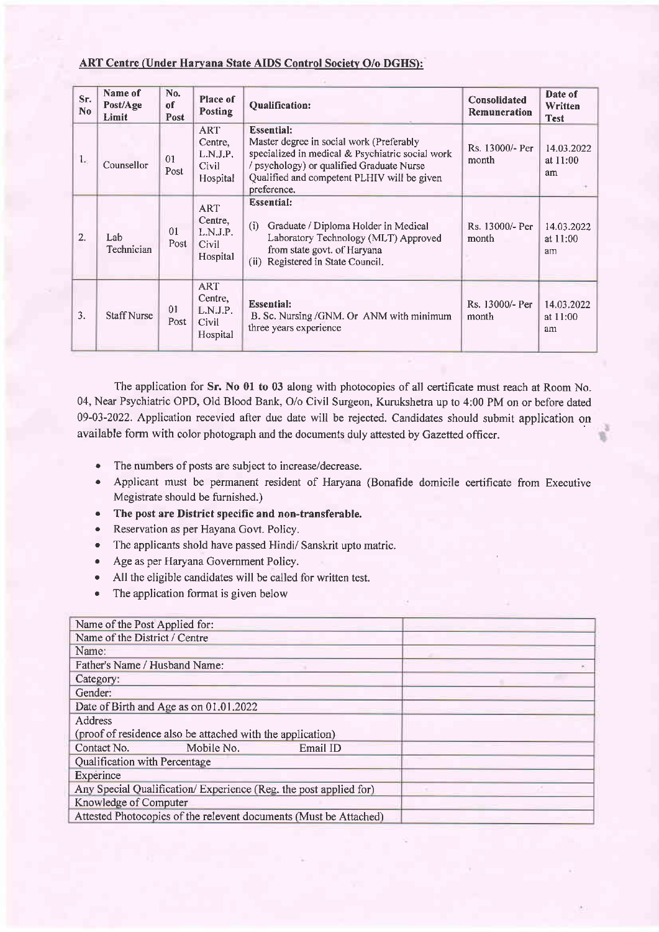## ART Centre (Under Haryana State AIDS Control Society O/o DGHS):

| Sr.<br>No        | Name of<br>Post/Age<br>Limit | No.<br>of<br>Post      | Place of<br><b>Posting</b>                             | <b>Qualification:</b>                                                                                                                                                                                                        | Consolidated<br>Remuneration | Date of<br>Written<br><b>Test</b> |
|------------------|------------------------------|------------------------|--------------------------------------------------------|------------------------------------------------------------------------------------------------------------------------------------------------------------------------------------------------------------------------------|------------------------------|-----------------------------------|
| 1 <sub>w</sub>   | Counsellor                   | 0 <sub>1</sub><br>Post | <b>ART</b><br>Centre,<br>L.N.J.P.<br>Civil<br>Hospital | <b>Essential:</b><br>Master degree in social work (Preferably<br>specialized in medical & Psychiatric social work<br>/ psychology) or qualified Graduate Nurse<br>Qualified and competent PLHIV will be given<br>preference. | Rs. 13000/- Per<br>month     | 14.03.2022<br>at 11:00<br>am      |
| 2.               | Lab<br>Technician            | 01<br>Post             | ART<br>Centre,<br>L.N.J.P.<br>Civil<br>Hospital        | <b>Essential:</b><br>(i)<br>Graduate / Diploma Holder in Medical<br>Laboratory Technology (MLT) Approved<br>from state govt. of Haryana<br>(ii) Registered in State Council.                                                 | Rs. 13000/- Per<br>month     | 14.03.2022<br>at 11:00<br>am      |
| $\overline{3}$ . | <b>Staff Nurse</b>           | 01<br>Post             | <b>ART</b><br>Centre,<br>L.N.J.P.<br>Civil<br>Hospital | <b>Essential:</b><br>B. Sc. Nursing /GNM. Or ANM with minimum<br>three years experience                                                                                                                                      | Rs. 13000/- Per<br>month     | 14,03.2022<br>at 11:00<br>am      |

The application for Sr. No 01 to 03 along with photocopies of all certificate must reach at Room No. 04, Near Psychiatric OPD, Old Blood Bank, O/o Civil Surgeon, Kurukshetra up to 4:00 PM on or before dated 09-03-2022. Application recevied after due date will be rejected. Candidates should submit application on available form with color photograph and the documents duly attested by Gazetted officer.

- The numbers of posts are subject to increase/decrease.
- . Applicant must be permanent resident of Haryana (Bonafide domicile certificate from Executive Megistrate should be furnished.)
- The post are District specific and non-transferable.
- Reservation as per Hayana Govt. Policy.
- The applicants shold have passed Hindi/ Sanskrit upto matric.
- . Age as per Haryana Govemment Policy.
- o All the eligible candidates will be called for written test.
- The application format is given below

| Name of the Post Applied for:                                     |  |
|-------------------------------------------------------------------|--|
| Name of the District / Centre                                     |  |
| Name:                                                             |  |
| Father's Name / Husband Name:                                     |  |
| Category:                                                         |  |
| Gender:                                                           |  |
| Date of Birth and Age as on 01.01.2022                            |  |
| Address                                                           |  |
| (proof of residence also be attached with the application)        |  |
| Mobile No.<br>Contact No.<br>Email ID                             |  |
| Qualification with Percentage                                     |  |
| Experince                                                         |  |
| Any Special Qualification/Experience (Reg. the post applied for)  |  |
| Knowledge of Computer                                             |  |
| Attested Photocopies of the relevent documents (Must be Attached) |  |
|                                                                   |  |